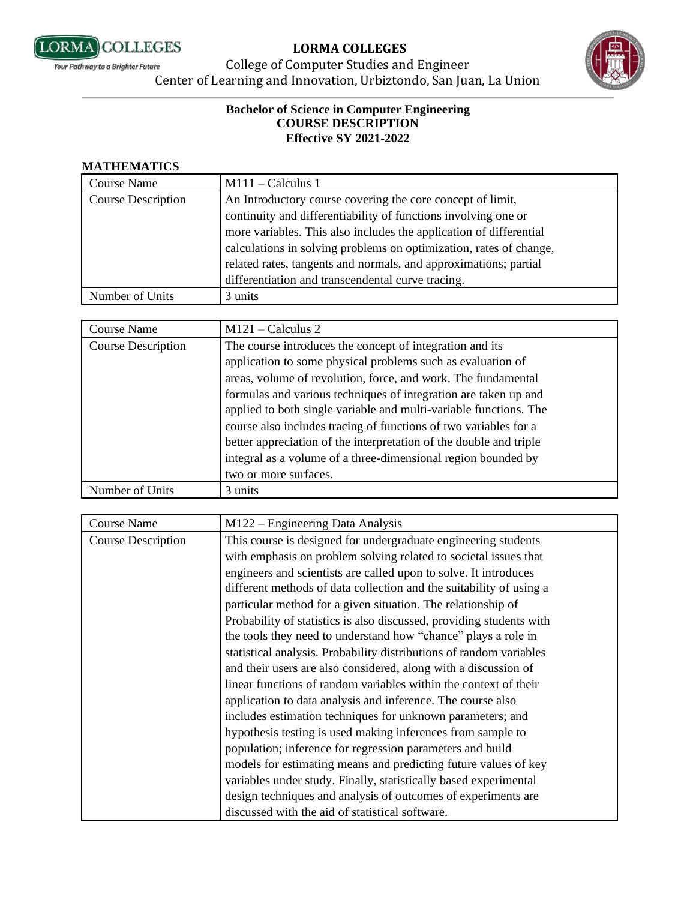



College of Computer Studies and Engineer Center of Learning and Innovation, Urbiztondo, San Juan, La Union

#### **Bachelor of Science in Computer Engineering COURSE DESCRIPTION Effective SY 2021-2022**

#### **MATHEMATICS**

| Course Name        | $M111 -$ Calculus 1                                                                                                          |
|--------------------|------------------------------------------------------------------------------------------------------------------------------|
| Course Description | An Introductory course covering the core concept of limit,<br>continuity and differentiability of functions involving one or |
|                    | more variables. This also includes the application of differential                                                           |
|                    | calculations in solving problems on optimization, rates of change,                                                           |
|                    | related rates, tangents and normals, and approximations; partial                                                             |
|                    | differentiation and transcendental curve tracing.                                                                            |
| Number of Units    | 3 units                                                                                                                      |

| Course Name               | $M121 -$ Calculus 2                                                |
|---------------------------|--------------------------------------------------------------------|
| <b>Course Description</b> | The course introduces the concept of integration and its           |
|                           | application to some physical problems such as evaluation of        |
|                           | areas, volume of revolution, force, and work. The fundamental      |
|                           | formulas and various techniques of integration are taken up and    |
|                           | applied to both single variable and multi-variable functions. The  |
|                           | course also includes tracing of functions of two variables for a   |
|                           | better appreciation of the interpretation of the double and triple |
|                           | integral as a volume of a three-dimensional region bounded by      |
|                           | two or more surfaces.                                              |
| Number of Units           | 3 units                                                            |

| <b>Course Name</b>        | $M122$ – Engineering Data Analysis                                   |
|---------------------------|----------------------------------------------------------------------|
| <b>Course Description</b> | This course is designed for undergraduate engineering students       |
|                           | with emphasis on problem solving related to societal issues that     |
|                           | engineers and scientists are called upon to solve. It introduces     |
|                           | different methods of data collection and the suitability of using a  |
|                           | particular method for a given situation. The relationship of         |
|                           | Probability of statistics is also discussed, providing students with |
|                           | the tools they need to understand how "chance" plays a role in       |
|                           | statistical analysis. Probability distributions of random variables  |
|                           | and their users are also considered, along with a discussion of      |
|                           | linear functions of random variables within the context of their     |
|                           | application to data analysis and inference. The course also          |
|                           | includes estimation techniques for unknown parameters; and           |
|                           | hypothesis testing is used making inferences from sample to          |
|                           | population; inference for regression parameters and build            |
|                           | models for estimating means and predicting future values of key      |
|                           | variables under study. Finally, statistically based experimental     |
|                           | design techniques and analysis of outcomes of experiments are        |
|                           | discussed with the aid of statistical software.                      |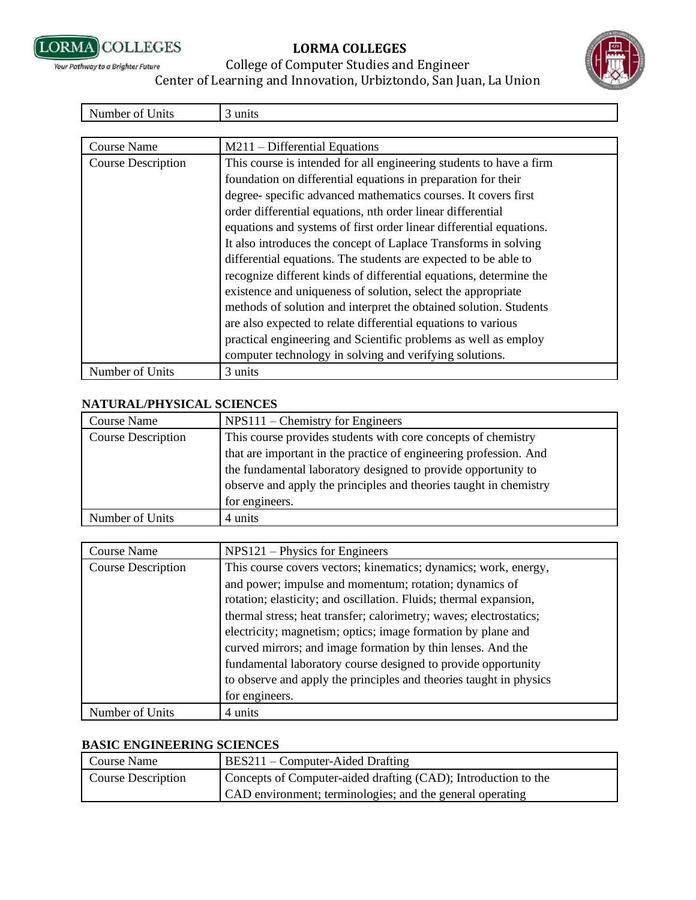



## College of Computer Studies and Engineer Center of Learning and Innovation, Urbiztondo, San Juan, La Union

units

| Course Name               | $M211 - Differential Equations$                                     |
|---------------------------|---------------------------------------------------------------------|
| <b>Course Description</b> | This course is intended for all engineering students to have a firm |
|                           | foundation on differential equations in preparation for their       |
|                           | degree-specific advanced mathematics courses. It covers first       |
|                           | order differential equations, nth order linear differential         |
|                           | equations and systems of first order linear differential equations. |
|                           | It also introduces the concept of Laplace Transforms in solving     |
|                           | differential equations. The students are expected to be able to     |
|                           | recognize different kinds of differential equations, determine the  |
|                           | existence and uniqueness of solution, select the appropriate        |
|                           | methods of solution and interpret the obtained solution. Students   |
|                           | are also expected to relate differential equations to various       |
|                           | practical engineering and Scientific problems as well as employ     |
|                           | computer technology in solving and verifying solutions.             |
| Number of Units           | 3 units                                                             |

#### **NATURAL/PHYSICAL SCIENCES**

| Course Name               | $NPS111$ – Chemistry for Engineers                                                                                                 |
|---------------------------|------------------------------------------------------------------------------------------------------------------------------------|
| <b>Course Description</b> | This course provides students with core concepts of chemistry                                                                      |
|                           | that are important in the practice of engineering profession. And                                                                  |
|                           | the fundamental laboratory designed to provide opportunity to<br>observe and apply the principles and theories taught in chemistry |
|                           | for engineers.                                                                                                                     |
| Number of Units           | 4 units                                                                                                                            |

| <b>Course Name</b>        | $NPS121$ – Physics for Engineers                                   |
|---------------------------|--------------------------------------------------------------------|
| <b>Course Description</b> | This course covers vectors; kinematics; dynamics; work, energy,    |
|                           | and power; impulse and momentum; rotation; dynamics of             |
|                           | rotation; elasticity; and oscillation. Fluids; thermal expansion,  |
|                           | thermal stress; heat transfer; calorimetry; waves; electrostatics; |
|                           | electricity; magnetism; optics; image formation by plane and       |
|                           | curved mirrors; and image formation by thin lenses. And the        |
|                           | fundamental laboratory course designed to provide opportunity      |
|                           | to observe and apply the principles and theories taught in physics |
|                           | for engineers.                                                     |
| Number of Units           | 4 units                                                            |

#### **BASIC ENGINEERING SCIENCES**

| Course Name        | BES211 – Computer-Aided Drafting                               |
|--------------------|----------------------------------------------------------------|
| Course Description | Concepts of Computer-aided drafting (CAD); Introduction to the |
|                    | CAD environment; terminologies; and the general operating      |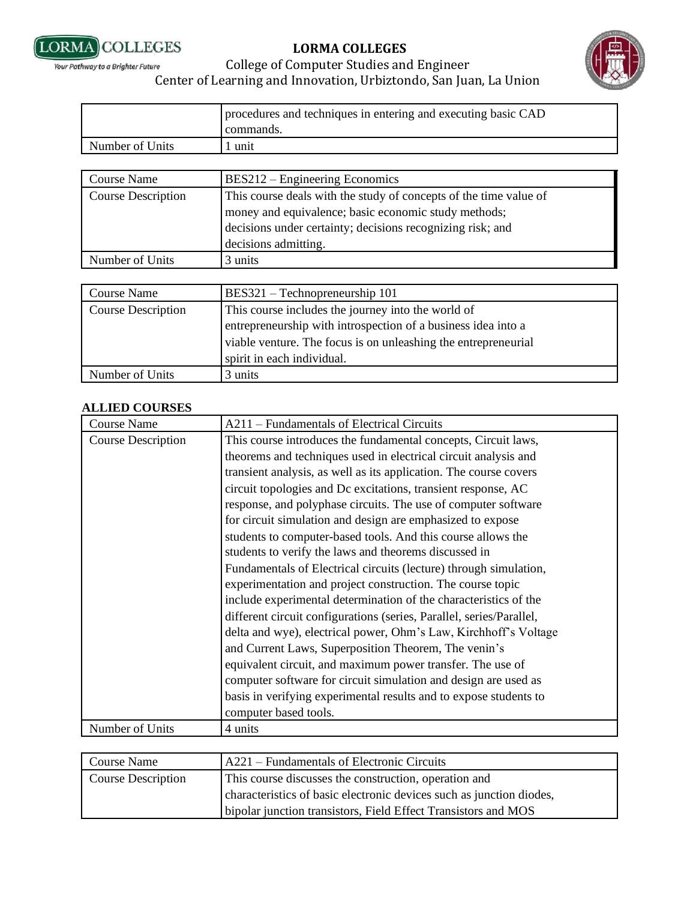



# College of Computer Studies and Engineer Center of Learning and Innovation, Urbiztondo, San Juan, La Union

|                 | procedures and techniques in entering and executing basic CAD<br>commands. |
|-----------------|----------------------------------------------------------------------------|
|                 |                                                                            |
| Number of Units | unit                                                                       |

| <b>Course Name</b>        | BES212 – Engineering Economics                                                                                                                                                                                  |
|---------------------------|-----------------------------------------------------------------------------------------------------------------------------------------------------------------------------------------------------------------|
| <b>Course Description</b> | This course deals with the study of concepts of the time value of<br>money and equivalence; basic economic study methods;<br>decisions under certainty; decisions recognizing risk; and<br>decisions admitting. |
| Number of Units           | 3 units                                                                                                                                                                                                         |
|                           |                                                                                                                                                                                                                 |
| <b>Course Name</b>        | BES321 - Technopreneurship 101                                                                                                                                                                                  |
| <b>Course Description</b> | This course includes the journey into the world of                                                                                                                                                              |

| Course Description | This course includes the journey lift and world of             |
|--------------------|----------------------------------------------------------------|
|                    | entrepreneurship with introspection of a business idea into a  |
|                    | viable venture. The focus is on unleashing the entrepreneurial |
|                    | spirit in each individual.                                     |
| Number of Units    | 3 units                                                        |

#### **ALLIED COURSES**

| <b>Course Name</b>        | A211 - Fundamentals of Electrical Circuits                           |
|---------------------------|----------------------------------------------------------------------|
| <b>Course Description</b> | This course introduces the fundamental concepts, Circuit laws,       |
|                           | theorems and techniques used in electrical circuit analysis and      |
|                           | transient analysis, as well as its application. The course covers    |
|                           | circuit topologies and Dc excitations, transient response, AC        |
|                           | response, and polyphase circuits. The use of computer software       |
|                           | for circuit simulation and design are emphasized to expose           |
|                           | students to computer-based tools. And this course allows the         |
|                           | students to verify the laws and theorems discussed in                |
|                           | Fundamentals of Electrical circuits (lecture) through simulation,    |
|                           | experimentation and project construction. The course topic           |
|                           | include experimental determination of the characteristics of the     |
|                           | different circuit configurations (series, Parallel, series/Parallel, |
|                           | delta and wye), electrical power, Ohm's Law, Kirchhoff's Voltage     |
|                           | and Current Laws, Superposition Theorem, The venin's                 |
|                           | equivalent circuit, and maximum power transfer. The use of           |
|                           | computer software for circuit simulation and design are used as      |
|                           | basis in verifying experimental results and to expose students to    |
|                           | computer based tools.                                                |
| Number of Units           | 4 units                                                              |

| <b>Course Name</b>        | A221 – Fundamentals of Electronic Circuits                           |
|---------------------------|----------------------------------------------------------------------|
| <b>Course Description</b> | This course discusses the construction, operation and                |
|                           | characteristics of basic electronic devices such as junction diodes, |
|                           | bipolar junction transistors, Field Effect Transistors and MOS       |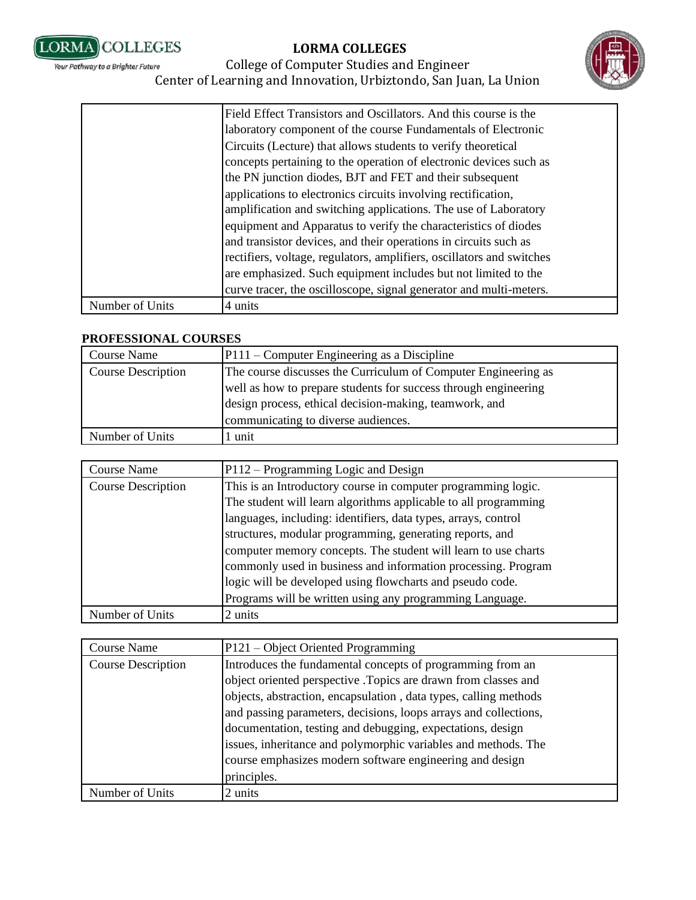



## College of Computer Studies and Engineer Center of Learning and Innovation, Urbiztondo, San Juan, La Union

|                 | Field Effect Transistors and Oscillators. And this course is the<br>laboratory component of the course Fundamentals of Electronic<br>Circuits (Lecture) that allows students to verify theoretical<br>concepts pertaining to the operation of electronic devices such as<br>the PN junction diodes, BJT and FET and their subsequent<br>applications to electronics circuits involving rectification,<br>amplification and switching applications. The use of Laboratory<br>equipment and Apparatus to verify the characteristics of diodes<br>and transistor devices, and their operations in circuits such as<br>rectifiers, voltage, regulators, amplifiers, oscillators and switches<br>are emphasized. Such equipment includes but not limited to the<br>curve tracer, the oscilloscope, signal generator and multi-meters. |
|-----------------|----------------------------------------------------------------------------------------------------------------------------------------------------------------------------------------------------------------------------------------------------------------------------------------------------------------------------------------------------------------------------------------------------------------------------------------------------------------------------------------------------------------------------------------------------------------------------------------------------------------------------------------------------------------------------------------------------------------------------------------------------------------------------------------------------------------------------------|
| Number of Units | 4 units                                                                                                                                                                                                                                                                                                                                                                                                                                                                                                                                                                                                                                                                                                                                                                                                                          |

#### **PROFESSIONAL COURSES**

| <b>Course Name</b>        | P111 – Computer Engineering as a Discipline                     |
|---------------------------|-----------------------------------------------------------------|
| <b>Course Description</b> | The course discusses the Curriculum of Computer Engineering as  |
|                           | well as how to prepare students for success through engineering |
|                           | design process, ethical decision-making, teamwork, and          |
|                           | communicating to diverse audiences.                             |
| Number of Units           | unit                                                            |

| Course Name               | P112 – Programming Logic and Design                                                                                                                                                                                                                                                                                                                                                                                                                                                                                        |
|---------------------------|----------------------------------------------------------------------------------------------------------------------------------------------------------------------------------------------------------------------------------------------------------------------------------------------------------------------------------------------------------------------------------------------------------------------------------------------------------------------------------------------------------------------------|
| <b>Course Description</b> | This is an Introductory course in computer programming logic.<br>The student will learn algorithms applicable to all programming<br>languages, including: identifiers, data types, arrays, control<br>structures, modular programming, generating reports, and<br>computer memory concepts. The student will learn to use charts<br>commonly used in business and information processing. Program<br>logic will be developed using flowcharts and pseudo code.<br>Programs will be written using any programming Language. |
| Number of Units           | 2 units                                                                                                                                                                                                                                                                                                                                                                                                                                                                                                                    |

| Course Name               | P121 – Object Oriented Programming                               |
|---------------------------|------------------------------------------------------------------|
| <b>Course Description</b> | Introduces the fundamental concepts of programming from an       |
|                           | object oriented perspective .Topics are drawn from classes and   |
|                           | objects, abstraction, encapsulation, data types, calling methods |
|                           | and passing parameters, decisions, loops arrays and collections, |
|                           | documentation, testing and debugging, expectations, design       |
|                           | issues, inheritance and polymorphic variables and methods. The   |
|                           | course emphasizes modern software engineering and design         |
|                           | principles.                                                      |
| Number of Units           | 2 units                                                          |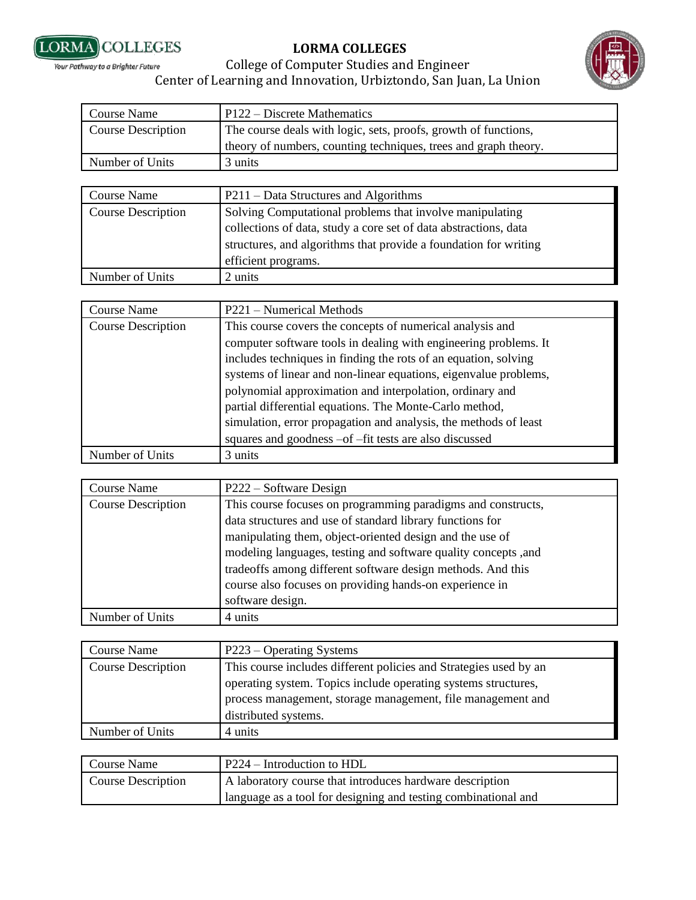



#### College of Computer Studies and Engineer Your Pathway to a Brighter Future Center of Learning and Innovation, Urbiztondo, San Juan, La Union

| Course Name               | $P122 - Discrete Mathematics$                                   |
|---------------------------|-----------------------------------------------------------------|
| <b>Course Description</b> | The course deals with logic, sets, proofs, growth of functions, |
|                           | theory of numbers, counting techniques, trees and graph theory. |
| Number of Units           | 3 units                                                         |

| <b>Course Name</b>        | P211 – Data Structures and Algorithms                            |
|---------------------------|------------------------------------------------------------------|
| <b>Course Description</b> | Solving Computational problems that involve manipulating         |
|                           | collections of data, study a core set of data abstractions, data |
|                           | structures, and algorithms that provide a foundation for writing |
|                           | efficient programs.                                              |
| Number of Units           | 2 units                                                          |

| <b>Course Name</b>        | P221 – Numerical Methods                                                                                                                                                                                                                                                                                                                                                                                                                                                                                                  |
|---------------------------|---------------------------------------------------------------------------------------------------------------------------------------------------------------------------------------------------------------------------------------------------------------------------------------------------------------------------------------------------------------------------------------------------------------------------------------------------------------------------------------------------------------------------|
| <b>Course Description</b> | This course covers the concepts of numerical analysis and<br>computer software tools in dealing with engineering problems. It<br>includes techniques in finding the rots of an equation, solving<br>systems of linear and non-linear equations, eigenvalue problems,<br>polynomial approximation and interpolation, ordinary and<br>partial differential equations. The Monte-Carlo method,<br>simulation, error propagation and analysis, the methods of least<br>squares and goodness -of -fit tests are also discussed |
| Number of Units           | 3 units                                                                                                                                                                                                                                                                                                                                                                                                                                                                                                                   |

| <b>Course Name</b>        | P222 – Software Design                                          |
|---------------------------|-----------------------------------------------------------------|
| <b>Course Description</b> | This course focuses on programming paradigms and constructs,    |
|                           | data structures and use of standard library functions for       |
|                           | manipulating them, object-oriented design and the use of        |
|                           | modeling languages, testing and software quality concepts , and |
|                           | tradeoffs among different software design methods. And this     |
|                           | course also focuses on providing hands-on experience in         |
|                           | software design.                                                |
| Number of Units           | 4 units                                                         |

| <b>Course Name</b>        | P223 – Operating Systems                                          |
|---------------------------|-------------------------------------------------------------------|
| <b>Course Description</b> | This course includes different policies and Strategies used by an |
|                           | operating system. Topics include operating systems structures,    |
|                           | process management, storage management, file management and       |
|                           | distributed systems.                                              |
| Number of Units           | 4 units                                                           |

| Course Name               | P224 – Introduction to HDL                                     |
|---------------------------|----------------------------------------------------------------|
| <b>Course Description</b> | A laboratory course that introduces hardware description       |
|                           | language as a tool for designing and testing combinational and |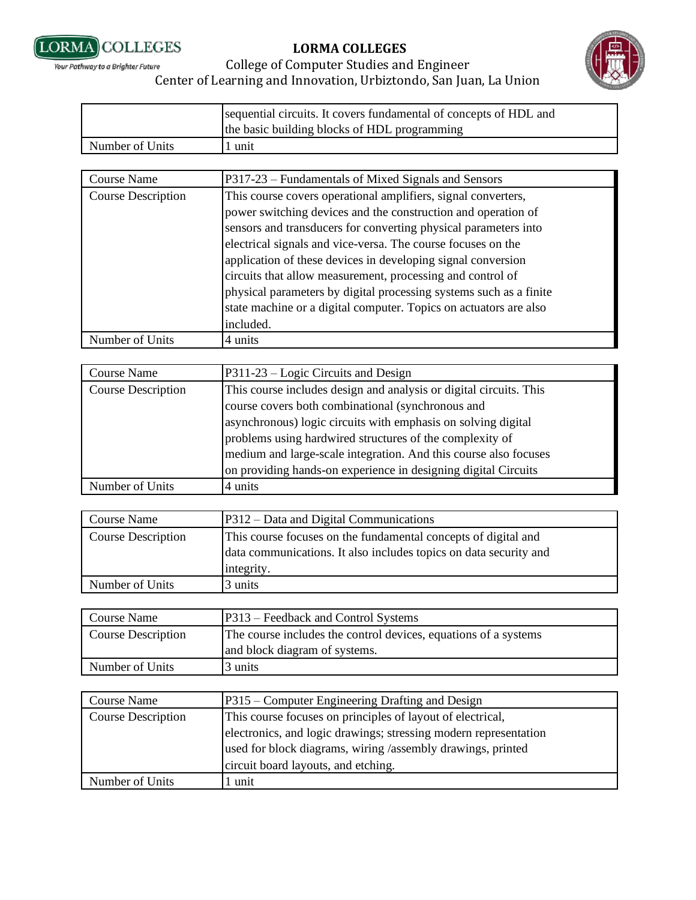



|                 | sequential circuits. It covers fundamental of concepts of HDL and |
|-----------------|-------------------------------------------------------------------|
|                 | the basic building blocks of HDL programming                      |
| Number of Units | unit                                                              |

| Course Name               | P317-23 – Fundamentals of Mixed Signals and Sensors                |
|---------------------------|--------------------------------------------------------------------|
| <b>Course Description</b> | This course covers operational amplifiers, signal converters,      |
|                           | power switching devices and the construction and operation of      |
|                           | sensors and transducers for converting physical parameters into    |
|                           | electrical signals and vice-versa. The course focuses on the       |
|                           | application of these devices in developing signal conversion       |
|                           | circuits that allow measurement, processing and control of         |
|                           | physical parameters by digital processing systems such as a finite |
|                           | state machine or a digital computer. Topics on actuators are also  |
|                           | included.                                                          |
| Number of Units           | 4 units                                                            |

| <b>Course Name</b>        | P311-23 – Logic Circuits and Design                                                                                     |
|---------------------------|-------------------------------------------------------------------------------------------------------------------------|
| <b>Course Description</b> | This course includes design and analysis or digital circuits. This<br>course covers both combinational (synchronous and |
|                           | asynchronous) logic circuits with emphasis on solving digital                                                           |
|                           | problems using hardwired structures of the complexity of                                                                |
|                           | medium and large-scale integration. And this course also focuses                                                        |
|                           | on providing hands-on experience in designing digital Circuits                                                          |
| Number of Units           | 4 units                                                                                                                 |

| Course Name               | P312 – Data and Digital Communications                                                                                                            |
|---------------------------|---------------------------------------------------------------------------------------------------------------------------------------------------|
| <b>Course Description</b> | This course focuses on the fundamental concepts of digital and<br>data communications. It also includes topics on data security and<br>integrity. |
| Number of Units           | 3 units                                                                                                                                           |

| Course Name               | P313 – Feedback and Control Systems                             |
|---------------------------|-----------------------------------------------------------------|
| <b>Course Description</b> | The course includes the control devices, equations of a systems |
|                           | and block diagram of systems.                                   |
| Number of Units           | 3 units                                                         |

| <b>Course Name</b>        | P315 – Computer Engineering Drafting and Design                                                                                 |
|---------------------------|---------------------------------------------------------------------------------------------------------------------------------|
| <b>Course Description</b> | This course focuses on principles of layout of electrical,                                                                      |
|                           | electronics, and logic drawings; stressing modern representation<br>used for block diagrams, wiring /assembly drawings, printed |
|                           | circuit board layouts, and etching.                                                                                             |
| Number of Units           | unit                                                                                                                            |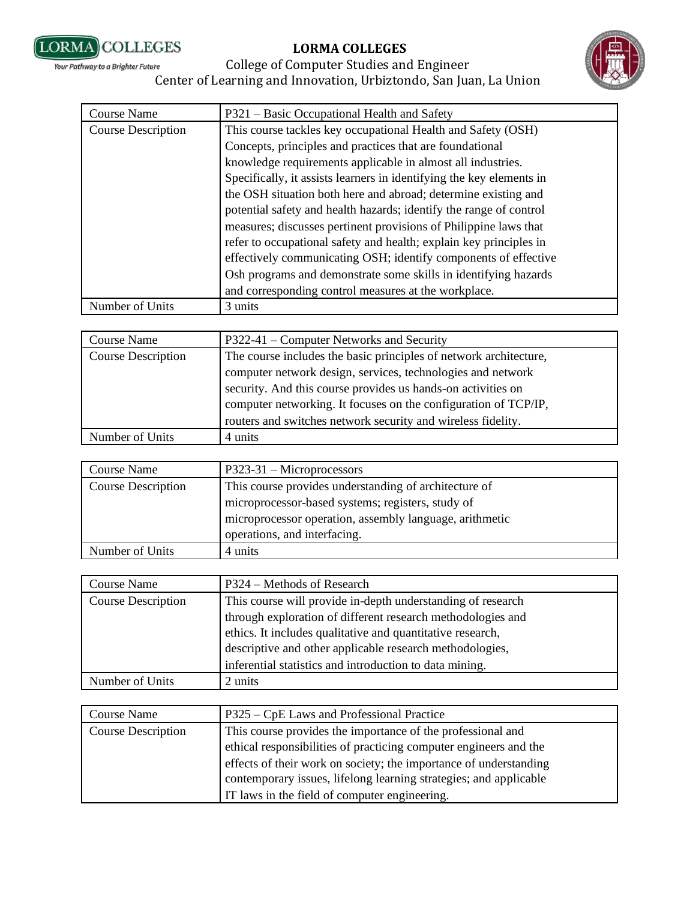



| <b>Course Name</b>        | P321 – Basic Occupational Health and Safety                          |
|---------------------------|----------------------------------------------------------------------|
| <b>Course Description</b> | This course tackles key occupational Health and Safety (OSH)         |
|                           | Concepts, principles and practices that are foundational             |
|                           | knowledge requirements applicable in almost all industries.          |
|                           | Specifically, it assists learners in identifying the key elements in |
|                           | the OSH situation both here and abroad; determine existing and       |
|                           | potential safety and health hazards; identify the range of control   |
|                           | measures; discusses pertinent provisions of Philippine laws that     |
|                           | refer to occupational safety and health; explain key principles in   |
|                           | effectively communicating OSH; identify components of effective      |
|                           | Osh programs and demonstrate some skills in identifying hazards      |
|                           | and corresponding control measures at the workplace.                 |
| Number of Units           | 3 units                                                              |

| Course Name               | P322-41 – Computer Networks and Security                          |
|---------------------------|-------------------------------------------------------------------|
| <b>Course Description</b> | The course includes the basic principles of network architecture, |
|                           | computer network design, services, technologies and network       |
|                           | security. And this course provides us hands-on activities on      |
|                           | computer networking. It focuses on the configuration of TCP/IP,   |
|                           | routers and switches network security and wireless fidelity.      |
| Number of Units           | 4 units                                                           |

| Course Name               | $P323-31$ – Microprocessors                             |
|---------------------------|---------------------------------------------------------|
| <b>Course Description</b> | This course provides understanding of architecture of   |
|                           | microprocessor-based systems; registers, study of       |
|                           | microprocessor operation, assembly language, arithmetic |
|                           | operations, and interfacing.                            |
| Number of Units           | 4 units                                                 |

| <b>Course Name</b>        | P324 – Methods of Research                                  |
|---------------------------|-------------------------------------------------------------|
| <b>Course Description</b> | This course will provide in-depth understanding of research |
|                           | through exploration of different research methodologies and |
|                           | ethics. It includes qualitative and quantitative research,  |
|                           | descriptive and other applicable research methodologies,    |
|                           | inferential statistics and introduction to data mining.     |
| Number of Units           | 2 units                                                     |

| <b>Course Name</b>        | P325 – CpE Laws and Professional Practice                         |
|---------------------------|-------------------------------------------------------------------|
| <b>Course Description</b> | This course provides the importance of the professional and       |
|                           | ethical responsibilities of practicing computer engineers and the |
|                           | effects of their work on society; the importance of understanding |
|                           | contemporary issues, lifelong learning strategies; and applicable |
|                           | IT laws in the field of computer engineering.                     |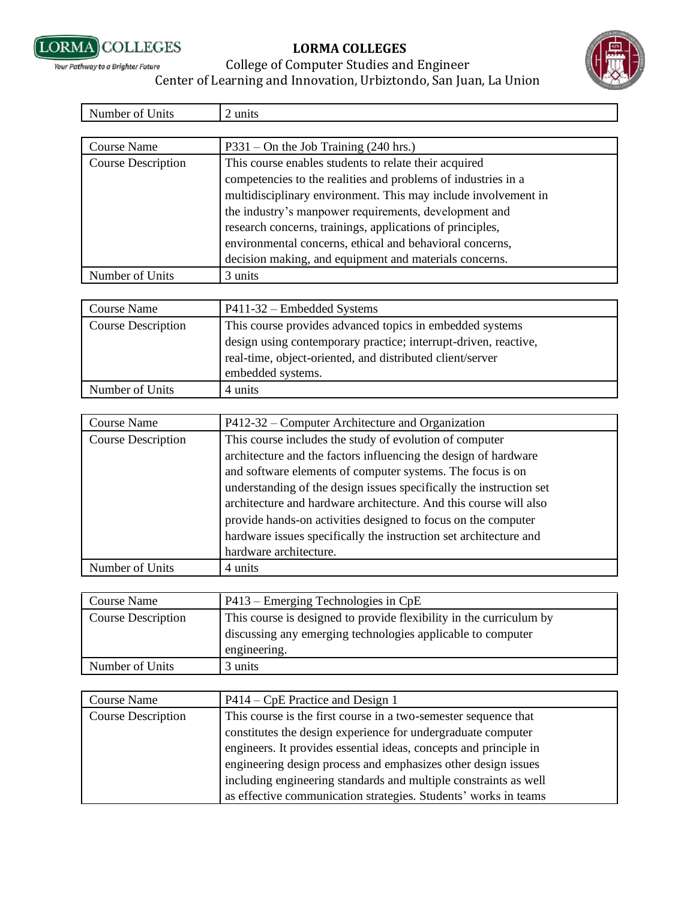



| Course Name               | $P331 - On$ the Job Training (240 hrs.)                                                                                                                                                                                                                                                                                                                                                                                              |
|---------------------------|--------------------------------------------------------------------------------------------------------------------------------------------------------------------------------------------------------------------------------------------------------------------------------------------------------------------------------------------------------------------------------------------------------------------------------------|
| <b>Course Description</b> | This course enables students to relate their acquired<br>competencies to the realities and problems of industries in a<br>multidisciplinary environment. This may include involvement in<br>the industry's manpower requirements, development and<br>research concerns, trainings, applications of principles,<br>environmental concerns, ethical and behavioral concerns,<br>decision making, and equipment and materials concerns. |
| Number of Units           | 3 units                                                                                                                                                                                                                                                                                                                                                                                                                              |

| Course Name               | P411-32 – Embedded Systems                                      |
|---------------------------|-----------------------------------------------------------------|
| <b>Course Description</b> | This course provides advanced topics in embedded systems        |
|                           | design using contemporary practice; interrupt-driven, reactive, |
|                           | real-time, object-oriented, and distributed client/server       |
|                           | embedded systems.                                               |
| Number of Units           | 4 units                                                         |

| Course Name               | P412-32 – Computer Architecture and Organization                    |
|---------------------------|---------------------------------------------------------------------|
| <b>Course Description</b> | This course includes the study of evolution of computer             |
|                           | architecture and the factors influencing the design of hardware     |
|                           | and software elements of computer systems. The focus is on          |
|                           | understanding of the design issues specifically the instruction set |
|                           | architecture and hardware architecture. And this course will also   |
|                           | provide hands-on activities designed to focus on the computer       |
|                           | hardware issues specifically the instruction set architecture and   |
|                           | hardware architecture.                                              |
| Number of Units           | 4 units                                                             |

| <b>Course Name</b>        | $P413 -$ Emerging Technologies in CpE                               |
|---------------------------|---------------------------------------------------------------------|
| <b>Course Description</b> | This course is designed to provide flexibility in the curriculum by |
|                           | discussing any emerging technologies applicable to computer         |
|                           | engineering.                                                        |
| Number of Units           | 3 units                                                             |

| <b>Course Name</b>        | P414 – CpE Practice and Design 1                                  |
|---------------------------|-------------------------------------------------------------------|
| <b>Course Description</b> | This course is the first course in a two-semester sequence that   |
|                           | constitutes the design experience for undergraduate computer      |
|                           | engineers. It provides essential ideas, concepts and principle in |
|                           | engineering design process and emphasizes other design issues     |
|                           | including engineering standards and multiple constraints as well  |
|                           | as effective communication strategies. Students' works in teams   |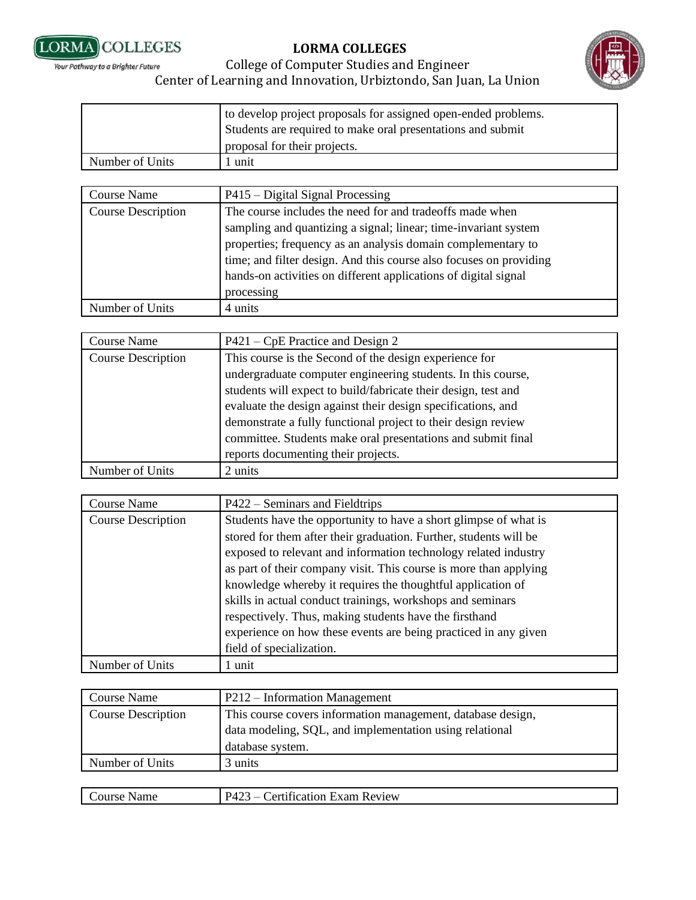



#### College of Computer Studies and Engineer Your Pathway to a Brighter Future Center of Learning and Innovation, Urbiztondo, San Juan, La Union

|                 | to develop project proposals for assigned open-ended problems.<br>Students are required to make oral presentations and submit |
|-----------------|-------------------------------------------------------------------------------------------------------------------------------|
|                 | proposal for their projects.                                                                                                  |
| Number of Units | 1 unit                                                                                                                        |

| <b>Course Name</b>        | P415 – Digital Signal Processing                                                                                                                                                                                                                                                                                                                   |
|---------------------------|----------------------------------------------------------------------------------------------------------------------------------------------------------------------------------------------------------------------------------------------------------------------------------------------------------------------------------------------------|
| <b>Course Description</b> | The course includes the need for and tradeoffs made when<br>sampling and quantizing a signal; linear; time-invariant system<br>properties; frequency as an analysis domain complementary to<br>time; and filter design. And this course also focuses on providing<br>hands-on activities on different applications of digital signal<br>processing |
| Number of Units           | 4 units                                                                                                                                                                                                                                                                                                                                            |

| <b>Course Name</b>        | $P421 - CpE$ Practice and Design 2                             |
|---------------------------|----------------------------------------------------------------|
| <b>Course Description</b> | This course is the Second of the design experience for         |
|                           | undergraduate computer engineering students. In this course,   |
|                           | students will expect to build/fabricate their design, test and |
|                           | evaluate the design against their design specifications, and   |
|                           | demonstrate a fully functional project to their design review  |
|                           | committee. Students make oral presentations and submit final   |
|                           | reports documenting their projects.                            |
| Number of Units           | 2 units                                                        |

| Course Name               | P422 – Seminars and Fieldtrips                                    |
|---------------------------|-------------------------------------------------------------------|
| <b>Course Description</b> | Students have the opportunity to have a short glimpse of what is  |
|                           | stored for them after their graduation. Further, students will be |
|                           | exposed to relevant and information technology related industry   |
|                           | as part of their company visit. This course is more than applying |
|                           | knowledge whereby it requires the thoughtful application of       |
|                           | skills in actual conduct trainings, workshops and seminars        |
|                           | respectively. Thus, making students have the firsthand            |
|                           | experience on how these events are being practiced in any given   |
|                           | field of specialization.                                          |
| Number of Units           | unit                                                              |

| Course Name               | P212 – Information Management                               |
|---------------------------|-------------------------------------------------------------|
| <b>Course Description</b> | This course covers information management, database design, |
|                           | data modeling, SQL, and implementation using relational     |
|                           | database system.                                            |
| Number of Units           | 3 units                                                     |
|                           |                                                             |

| ourse<br>Name | $\sim$<br>$\sqrt{2}$<br>≅י⊿ י<br>≾xam<br>. Review<br>$\sim$ rt<br>tication.<br>$\overline{\phantom{a}}$<br>. <u>. .</u><br>$\sim$ $\sim$ $\sim$ $\sim$ $\sim$ $\sim$ $\sim$ $\sim$<br>__<br>___<br>_ _ _ _ _ _ _ _ _ _ |
|---------------|------------------------------------------------------------------------------------------------------------------------------------------------------------------------------------------------------------------------|
|               |                                                                                                                                                                                                                        |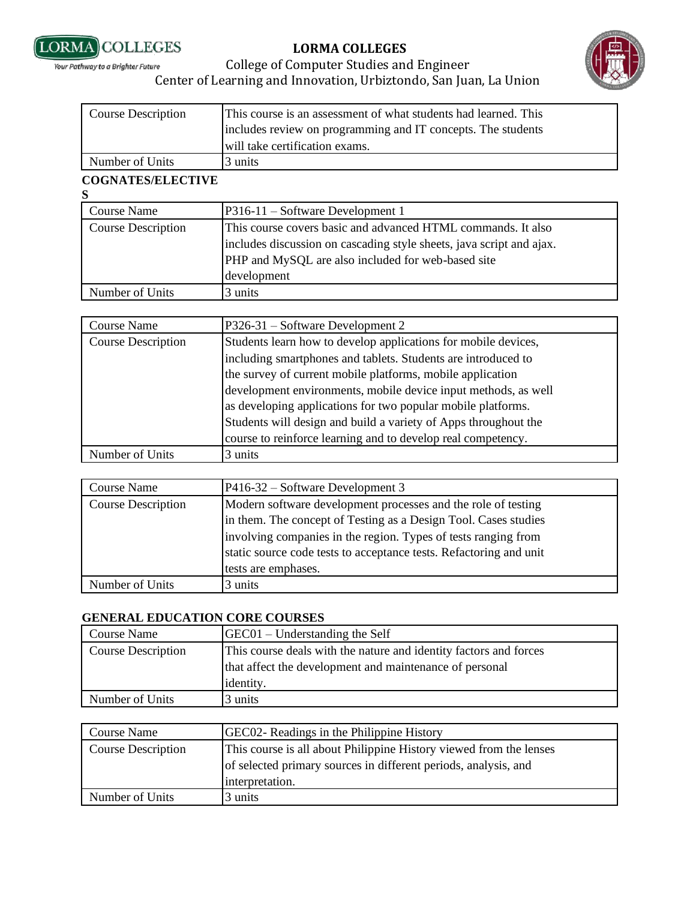



#### College of Computer Studies and Engineer Your Pathway to a Brighter Future Center of Learning and Innovation, Urbiztondo, San Juan, La Union

| <b>Course Description</b> | This course is an assessment of what students had learned. This<br>includes review on programming and IT concepts. The students<br>will take certification exams. |
|---------------------------|-------------------------------------------------------------------------------------------------------------------------------------------------------------------|
|                           |                                                                                                                                                                   |
| Number of Units           | 3 units                                                                                                                                                           |

# **COGNATES/ELECTIVE**

| S                         |                                                                      |
|---------------------------|----------------------------------------------------------------------|
| Course Name               | P316-11 – Software Development 1                                     |
| <b>Course Description</b> | This course covers basic and advanced HTML commands. It also         |
|                           | includes discussion on cascading style sheets, java script and ajax. |
|                           | PHP and MySQL are also included for web-based site                   |
|                           | development                                                          |
| Number of Units           | 3 units                                                              |

| Course Name               | P326-31 – Software Development 2                                |
|---------------------------|-----------------------------------------------------------------|
| <b>Course Description</b> | Students learn how to develop applications for mobile devices,  |
|                           | including smartphones and tablets. Students are introduced to   |
|                           | the survey of current mobile platforms, mobile application      |
|                           | development environments, mobile device input methods, as well  |
|                           | as developing applications for two popular mobile platforms.    |
|                           | Students will design and build a variety of Apps throughout the |
|                           | course to reinforce learning and to develop real competency.    |
| Number of Units           | 3 units                                                         |

| <b>Course Name</b>        | P416-32 – Software Development 3                                                                                                     |
|---------------------------|--------------------------------------------------------------------------------------------------------------------------------------|
| <b>Course Description</b> | Modern software development processes and the role of testing<br>in them. The concept of Testing as a Design Tool. Cases studies     |
|                           | involving companies in the region. Types of tests ranging from<br>static source code tests to acceptance tests. Refactoring and unit |
|                           | tests are emphases.                                                                                                                  |
| Number of Units           | 3 units                                                                                                                              |

#### **GENERAL EDUCATION CORE COURSES**

| Course Name               | $GEC01 - Understanding the Self$                                  |
|---------------------------|-------------------------------------------------------------------|
| <b>Course Description</b> | This course deals with the nature and identity factors and forces |
|                           | that affect the development and maintenance of personal           |
|                           | identity.                                                         |
| Number of Units           | 3 units                                                           |

| <b>Course Name</b>        | GEC02- Readings in the Philippine History                          |
|---------------------------|--------------------------------------------------------------------|
| <b>Course Description</b> | This course is all about Philippine History viewed from the lenses |
|                           | of selected primary sources in different periods, analysis, and    |
|                           | interpretation.                                                    |
| Number of Units           | 3 units                                                            |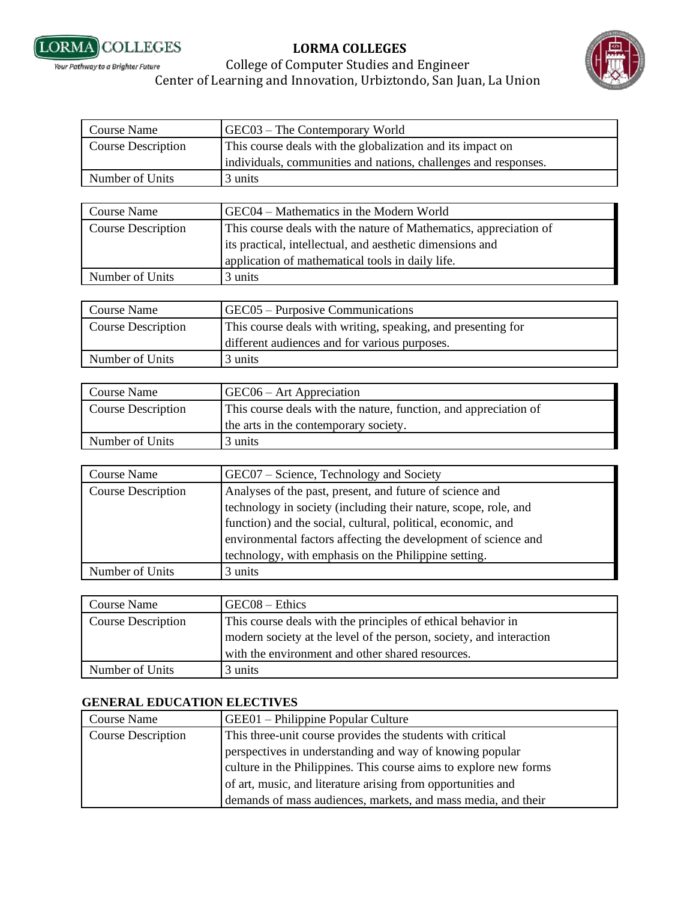



## College of Computer Studies and Engineer Center of Learning and Innovation, Urbiztondo, San Juan, La Union

| <b>Course Name</b>        | GEC03 - The Contemporary World                                    |
|---------------------------|-------------------------------------------------------------------|
| <b>Course Description</b> | This course deals with the globalization and its impact on        |
|                           | individuals, communities and nations, challenges and responses.   |
| Number of Units           | 3 units                                                           |
|                           |                                                                   |
| <b>Course Name</b>        | GEC04 - Mathematics in the Modern World                           |
| <b>Course Description</b> | This course deals with the nature of Mathematics, appreciation of |
|                           | its practical, intellectual, and aesthetic dimensions and         |
|                           | application of mathematical tools in daily life.                  |
| Number of Units           | 3 units                                                           |
|                           |                                                                   |
| <b>Course Name</b>        | GEC05 – Purposive Communications                                  |
| <b>Course Description</b> | This course deals with writing, speaking, and presenting for      |
|                           | different audiences and for various purposes.                     |
| Number of Units           | 3 units                                                           |
|                           |                                                                   |
| <b>Course Name</b>        | $GEC06 - Art$ Appreciation                                        |
| <b>Course Description</b> | This course deals with the nature, function, and appreciation of  |
|                           | the arts in the contemporary society.                             |
| Number of Units           | 3 units                                                           |
|                           |                                                                   |
| <b>Course Name</b>        | GEC07 – Science, Technology and Society                           |
| <b>Course Description</b> | Analyses of the past, present, and future of science and          |
|                           |                                                                   |

| Course Description | Analyses of the past, present, and future of science and        |
|--------------------|-----------------------------------------------------------------|
|                    | technology in society (including their nature, scope, role, and |
|                    | function) and the social, cultural, political, economic, and    |
|                    | environmental factors affecting the development of science and  |
|                    | technology, with emphasis on the Philippine setting.            |
| Number of Units    | 3 units                                                         |

| Course Name               | $GECO8 - Ethics$                                                    |
|---------------------------|---------------------------------------------------------------------|
| <b>Course Description</b> | This course deals with the principles of ethical behavior in        |
|                           | modern society at the level of the person, society, and interaction |
|                           | with the environment and other shared resources.                    |
| Number of Units           | 3 units                                                             |

### **GENERAL EDUCATION ELECTIVES**

| <b>Course Name</b>        | GEE01 – Philippine Popular Culture                                |
|---------------------------|-------------------------------------------------------------------|
| <b>Course Description</b> | This three-unit course provides the students with critical        |
|                           | perspectives in understanding and way of knowing popular          |
|                           | culture in the Philippines. This course aims to explore new forms |
|                           | of art, music, and literature arising from opportunities and      |
|                           | demands of mass audiences, markets, and mass media, and their     |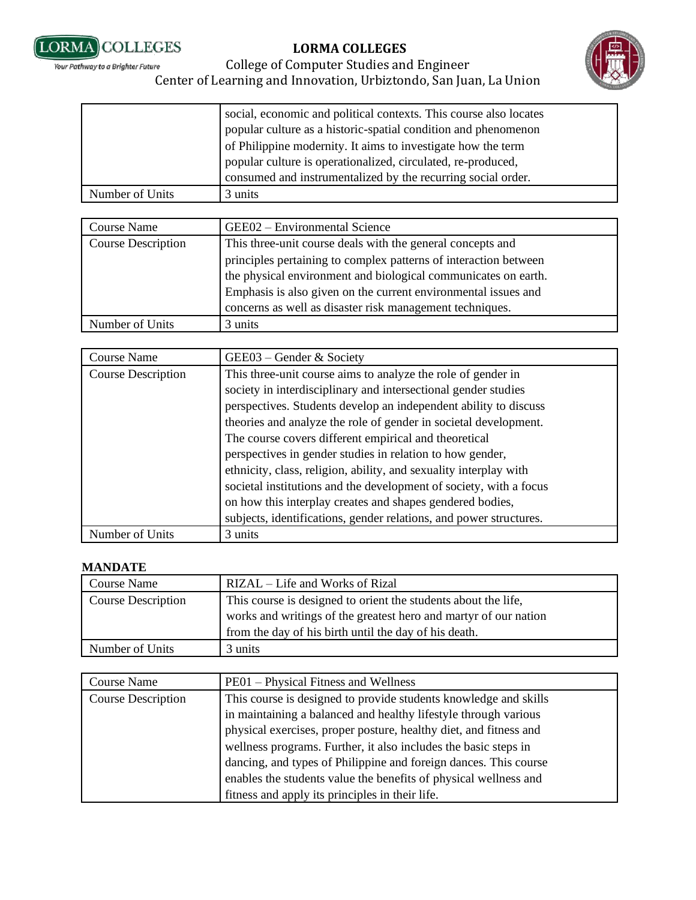



#### College of Computer Studies and Engineer Your Pathway to a Brighter Future Center of Learning and Innovation, Urbiztondo, San Juan, La Union

|                 | social, economic and political contexts. This course also locates<br>popular culture as a historic-spatial condition and phenomenon<br>of Philippine modernity. It aims to investigate how the term<br>popular culture is operationalized, circulated, re-produced,<br>consumed and instrumentalized by the recurring social order. |
|-----------------|-------------------------------------------------------------------------------------------------------------------------------------------------------------------------------------------------------------------------------------------------------------------------------------------------------------------------------------|
| Number of Units | 3 units                                                                                                                                                                                                                                                                                                                             |

| Course Name               | GEE02 - Environmental Science                                                                                                      |
|---------------------------|------------------------------------------------------------------------------------------------------------------------------------|
| <b>Course Description</b> | This three-unit course deals with the general concepts and                                                                         |
|                           | principles pertaining to complex patterns of interaction between<br>the physical environment and biological communicates on earth. |
|                           | Emphasis is also given on the current environmental issues and<br>concerns as well as disaster risk management techniques.         |
| Number of Units           | 3 units                                                                                                                            |

| <b>Course Name</b>        | GEE03 – Gender & Society                                           |
|---------------------------|--------------------------------------------------------------------|
| <b>Course Description</b> | This three-unit course aims to analyze the role of gender in       |
|                           | society in interdisciplinary and intersectional gender studies     |
|                           | perspectives. Students develop an independent ability to discuss   |
|                           | theories and analyze the role of gender in societal development.   |
|                           | The course covers different empirical and theoretical              |
|                           | perspectives in gender studies in relation to how gender,          |
|                           | ethnicity, class, religion, ability, and sexuality interplay with  |
|                           | societal institutions and the development of society, with a focus |
|                           | on how this interplay creates and shapes gendered bodies,          |
|                           | subjects, identifications, gender relations, and power structures. |
| Number of Units           | 3 units                                                            |

#### **MANDATE**

| Course Name               | RIZAL – Life and Works of Rizal                                  |
|---------------------------|------------------------------------------------------------------|
| <b>Course Description</b> | This course is designed to orient the students about the life,   |
|                           | works and writings of the greatest hero and martyr of our nation |
|                           | from the day of his birth until the day of his death.            |
| Number of Units           | 3 units                                                          |

| <b>Course Name</b>        | PE01 – Physical Fitness and Wellness                              |
|---------------------------|-------------------------------------------------------------------|
| <b>Course Description</b> | This course is designed to provide students knowledge and skills  |
|                           | in maintaining a balanced and healthy lifestyle through various   |
|                           | physical exercises, proper posture, healthy diet, and fitness and |
|                           | wellness programs. Further, it also includes the basic steps in   |
|                           | dancing, and types of Philippine and foreign dances. This course  |
|                           | enables the students value the benefits of physical wellness and  |
|                           | fitness and apply its principles in their life.                   |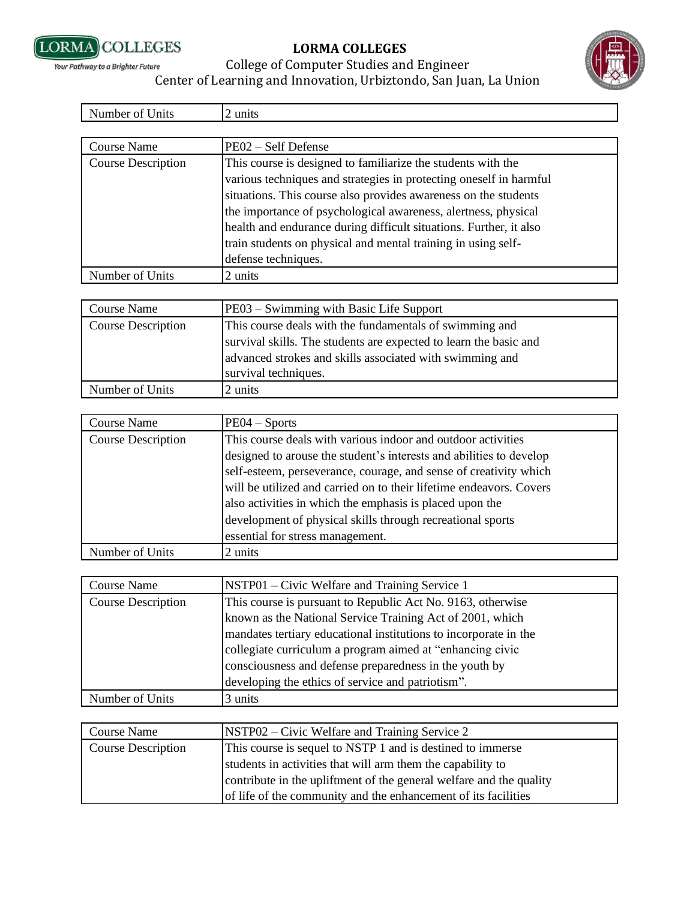



| Number of Units           | 2 units                                                                                                                                                                                                                                                                                                                                                                                                        |
|---------------------------|----------------------------------------------------------------------------------------------------------------------------------------------------------------------------------------------------------------------------------------------------------------------------------------------------------------------------------------------------------------------------------------------------------------|
|                           |                                                                                                                                                                                                                                                                                                                                                                                                                |
| Course Name               | PE02 - Self Defense                                                                                                                                                                                                                                                                                                                                                                                            |
| <b>Course Description</b> | This course is designed to familiarize the students with the<br>various techniques and strategies in protecting oneself in harmful<br>situations. This course also provides awareness on the students<br>the importance of psychological awareness, alertness, physical<br>health and endurance during difficult situations. Further, it also<br>train students on physical and mental training in using self- |
|                           | defense techniques.                                                                                                                                                                                                                                                                                                                                                                                            |
| Number of Units           | 2 units                                                                                                                                                                                                                                                                                                                                                                                                        |

| <b>Course Name</b>        | PE03 – Swimming with Basic Life Support                                                                                                                                                                          |
|---------------------------|------------------------------------------------------------------------------------------------------------------------------------------------------------------------------------------------------------------|
| <b>Course Description</b> | This course deals with the fundamentals of swimming and<br>survival skills. The students are expected to learn the basic and<br>advanced strokes and skills associated with swimming and<br>survival techniques. |
|                           |                                                                                                                                                                                                                  |
| Number of Units           | 2 units                                                                                                                                                                                                          |

| Course Name               | $PE04 - Sports$                                                     |
|---------------------------|---------------------------------------------------------------------|
| <b>Course Description</b> | This course deals with various indoor and outdoor activities        |
|                           | designed to arouse the student's interests and abilities to develop |
|                           | self-esteem, perseverance, courage, and sense of creativity which   |
|                           | will be utilized and carried on to their lifetime endeavors. Covers |
|                           | also activities in which the emphasis is placed upon the            |
|                           | development of physical skills through recreational sports          |
|                           | essential for stress management.                                    |
| Number of Units           | 2 units                                                             |

| <b>Course Name</b>        | NSTP01 – Civic Welfare and Training Service 1                    |
|---------------------------|------------------------------------------------------------------|
| <b>Course Description</b> | This course is pursuant to Republic Act No. 9163, otherwise      |
|                           | known as the National Service Training Act of 2001, which        |
|                           | mandates tertiary educational institutions to incorporate in the |
|                           | collegiate curriculum a program aimed at "enhancing civic        |
|                           | consciousness and defense preparedness in the youth by           |
|                           | developing the ethics of service and patriotism".                |
| Number of Units           | 3 units                                                          |

| <b>Course Name</b>        | NSTP02 – Civic Welfare and Training Service 2                       |
|---------------------------|---------------------------------------------------------------------|
| <b>Course Description</b> | This course is sequel to NSTP 1 and is destined to immerse          |
|                           | students in activities that will arm them the capability to         |
|                           | contribute in the upliftment of the general welfare and the quality |
|                           | of life of the community and the enhancement of its facilities      |